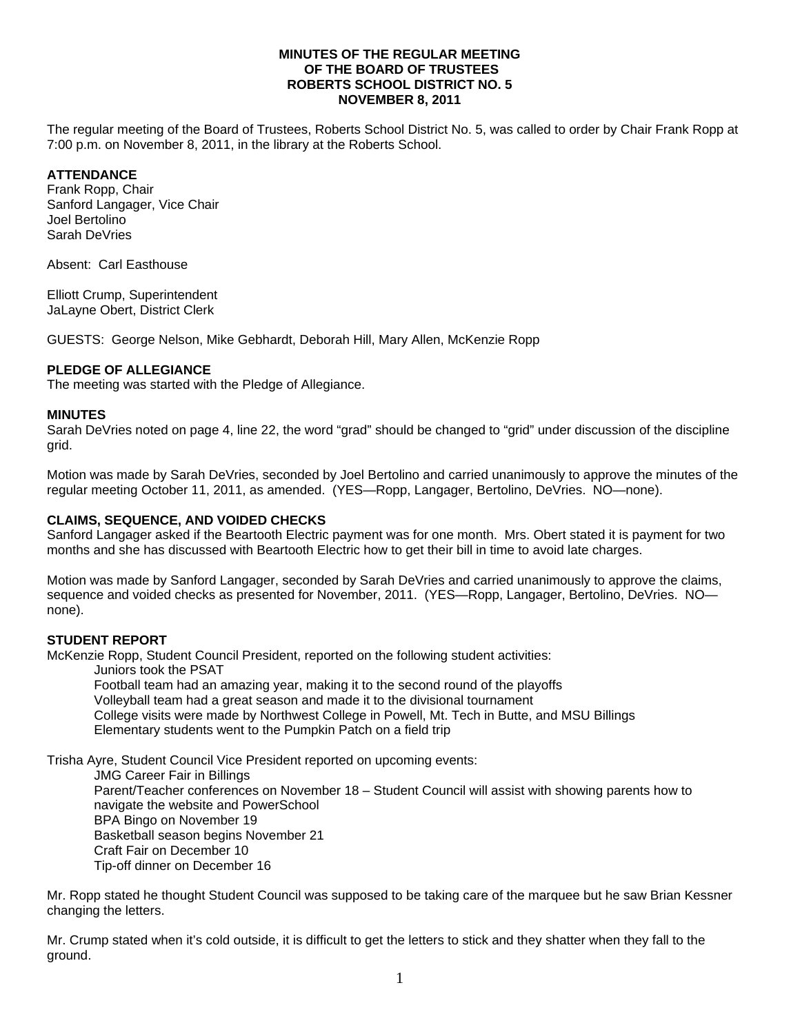### **MINUTES OF THE REGULAR MEETING OF THE BOARD OF TRUSTEES ROBERTS SCHOOL DISTRICT NO. 5 NOVEMBER 8, 2011**

The regular meeting of the Board of Trustees, Roberts School District No. 5, was called to order by Chair Frank Ropp at 7:00 p.m. on November 8, 2011, in the library at the Roberts School.

## **ATTENDANCE**

Frank Ropp, Chair Sanford Langager, Vice Chair Joel Bertolino Sarah DeVries

Absent: Carl Easthouse

Elliott Crump, Superintendent JaLayne Obert, District Clerk

GUESTS: George Nelson, Mike Gebhardt, Deborah Hill, Mary Allen, McKenzie Ropp

### **PLEDGE OF ALLEGIANCE**

The meeting was started with the Pledge of Allegiance.

#### **MINUTES**

Sarah DeVries noted on page 4, line 22, the word "grad" should be changed to "grid" under discussion of the discipline grid.

Motion was made by Sarah DeVries, seconded by Joel Bertolino and carried unanimously to approve the minutes of the regular meeting October 11, 2011, as amended. (YES—Ropp, Langager, Bertolino, DeVries. NO—none).

#### **CLAIMS, SEQUENCE, AND VOIDED CHECKS**

Sanford Langager asked if the Beartooth Electric payment was for one month. Mrs. Obert stated it is payment for two months and she has discussed with Beartooth Electric how to get their bill in time to avoid late charges.

Motion was made by Sanford Langager, seconded by Sarah DeVries and carried unanimously to approve the claims, sequence and voided checks as presented for November, 2011. (YES—Ropp, Langager, Bertolino, DeVries. NO none).

#### **STUDENT REPORT**

McKenzie Ropp, Student Council President, reported on the following student activities:

Juniors took the PSAT

 Football team had an amazing year, making it to the second round of the playoffs Volleyball team had a great season and made it to the divisional tournament College visits were made by Northwest College in Powell, Mt. Tech in Butte, and MSU Billings Elementary students went to the Pumpkin Patch on a field trip

Trisha Ayre, Student Council Vice President reported on upcoming events:

 JMG Career Fair in Billings Parent/Teacher conferences on November 18 – Student Council will assist with showing parents how to navigate the website and PowerSchool BPA Bingo on November 19 Basketball season begins November 21 Craft Fair on December 10 Tip-off dinner on December 16

Mr. Ropp stated he thought Student Council was supposed to be taking care of the marquee but he saw Brian Kessner changing the letters.

Mr. Crump stated when it's cold outside, it is difficult to get the letters to stick and they shatter when they fall to the ground.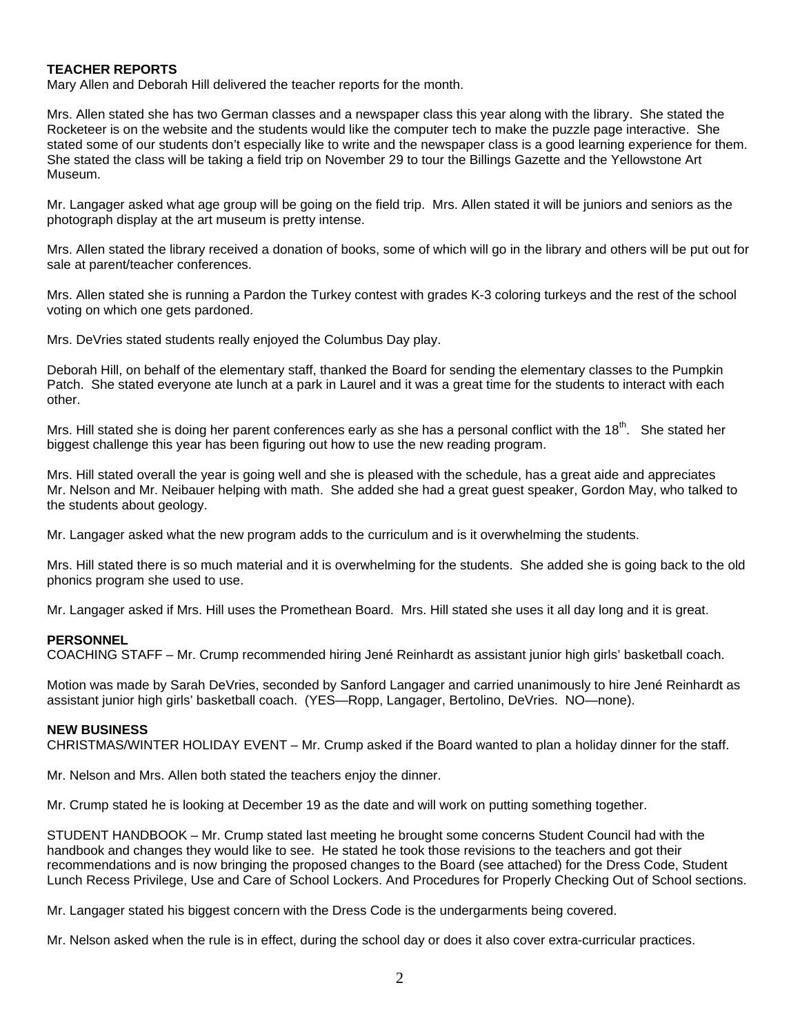### **TEACHER REPORTS**

Mary Allen and Deborah Hill delivered the teacher reports for the month.

Mrs. Allen stated she has two German classes and a newspaper class this year along with the library. She stated the Rocketeer is on the website and the students would like the computer tech to make the puzzle page interactive. She stated some of our students don't especially like to write and the newspaper class is a good learning experience for them. She stated the class will be taking a field trip on November 29 to tour the Billings Gazette and the Yellowstone Art Museum.

Mr. Langager asked what age group will be going on the field trip. Mrs. Allen stated it will be juniors and seniors as the photograph display at the art museum is pretty intense.

Mrs. Allen stated the library received a donation of books, some of which will go in the library and others will be put out for sale at parent/teacher conferences.

Mrs. Allen stated she is running a Pardon the Turkey contest with grades K-3 coloring turkeys and the rest of the school voting on which one gets pardoned.

Mrs. DeVries stated students really enjoyed the Columbus Day play.

Deborah Hill, on behalf of the elementary staff, thanked the Board for sending the elementary classes to the Pumpkin Patch. She stated everyone ate lunch at a park in Laurel and it was a great time for the students to interact with each other.

Mrs. Hill stated she is doing her parent conferences early as she has a personal conflict with the 18<sup>th</sup>. She stated her biggest challenge this year has been figuring out how to use the new reading program.

Mrs. Hill stated overall the year is going well and she is pleased with the schedule, has a great aide and appreciates Mr. Nelson and Mr. Neibauer helping with math. She added she had a great guest speaker, Gordon May, who talked to the students about geology.

Mr. Langager asked what the new program adds to the curriculum and is it overwhelming the students.

Mrs. Hill stated there is so much material and it is overwhelming for the students. She added she is going back to the old phonics program she used to use.

Mr. Langager asked if Mrs. Hill uses the Promethean Board. Mrs. Hill stated she uses it all day long and it is great.

#### **PERSONNEL**

COACHING STAFF – Mr. Crump recommended hiring Jené Reinhardt as assistant junior high girls' basketball coach.

Motion was made by Sarah DeVries, seconded by Sanford Langager and carried unanimously to hire Jené Reinhardt as assistant junior high girls' basketball coach. (YES—Ropp, Langager, Bertolino, DeVries. NO—none).

#### **NEW BUSINESS**

CHRISTMAS/WINTER HOLIDAY EVENT – Mr. Crump asked if the Board wanted to plan a holiday dinner for the staff.

Mr. Nelson and Mrs. Allen both stated the teachers enjoy the dinner.

Mr. Crump stated he is looking at December 19 as the date and will work on putting something together.

STUDENT HANDBOOK – Mr. Crump stated last meeting he brought some concerns Student Council had with the handbook and changes they would like to see. He stated he took those revisions to the teachers and got their recommendations and is now bringing the proposed changes to the Board (see attached) for the Dress Code, Student Lunch Recess Privilege, Use and Care of School Lockers. And Procedures for Properly Checking Out of School sections.

Mr. Langager stated his biggest concern with the Dress Code is the undergarments being covered.

Mr. Nelson asked when the rule is in effect, during the school day or does it also cover extra-curricular practices.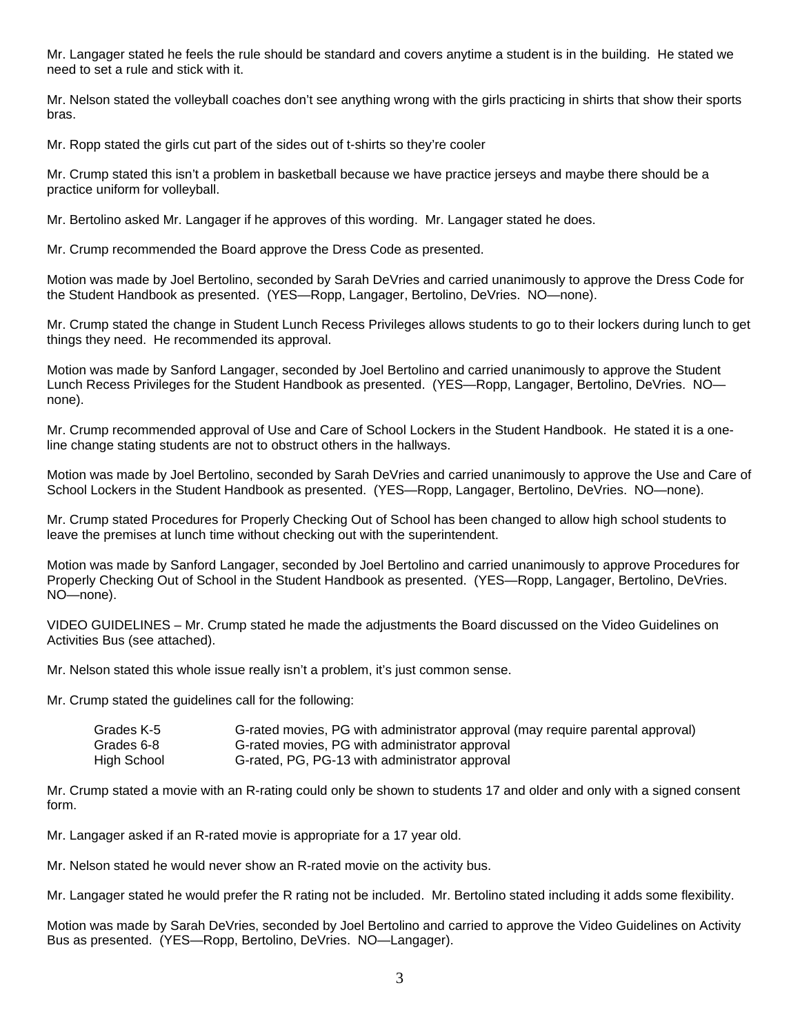Mr. Langager stated he feels the rule should be standard and covers anytime a student is in the building. He stated we need to set a rule and stick with it.

Mr. Nelson stated the volleyball coaches don't see anything wrong with the girls practicing in shirts that show their sports bras.

Mr. Ropp stated the girls cut part of the sides out of t-shirts so they're cooler

Mr. Crump stated this isn't a problem in basketball because we have practice jerseys and maybe there should be a practice uniform for volleyball.

Mr. Bertolino asked Mr. Langager if he approves of this wording. Mr. Langager stated he does.

Mr. Crump recommended the Board approve the Dress Code as presented.

Motion was made by Joel Bertolino, seconded by Sarah DeVries and carried unanimously to approve the Dress Code for the Student Handbook as presented. (YES—Ropp, Langager, Bertolino, DeVries. NO—none).

Mr. Crump stated the change in Student Lunch Recess Privileges allows students to go to their lockers during lunch to get things they need. He recommended its approval.

Motion was made by Sanford Langager, seconded by Joel Bertolino and carried unanimously to approve the Student Lunch Recess Privileges for the Student Handbook as presented. (YES—Ropp, Langager, Bertolino, DeVries. NO none).

Mr. Crump recommended approval of Use and Care of School Lockers in the Student Handbook. He stated it is a oneline change stating students are not to obstruct others in the hallways.

Motion was made by Joel Bertolino, seconded by Sarah DeVries and carried unanimously to approve the Use and Care of School Lockers in the Student Handbook as presented. (YES—Ropp, Langager, Bertolino, DeVries. NO—none).

Mr. Crump stated Procedures for Properly Checking Out of School has been changed to allow high school students to leave the premises at lunch time without checking out with the superintendent.

Motion was made by Sanford Langager, seconded by Joel Bertolino and carried unanimously to approve Procedures for Properly Checking Out of School in the Student Handbook as presented. (YES—Ropp, Langager, Bertolino, DeVries. NO—none).

VIDEO GUIDELINES – Mr. Crump stated he made the adjustments the Board discussed on the Video Guidelines on Activities Bus (see attached).

Mr. Nelson stated this whole issue really isn't a problem, it's just common sense.

Mr. Crump stated the guidelines call for the following:

| Grades K-5  | G-rated movies, PG with administrator approval (may require parental approval) |
|-------------|--------------------------------------------------------------------------------|
| Grades 6-8  | G-rated movies, PG with administrator approval                                 |
| High School | G-rated, PG, PG-13 with administrator approval                                 |

Mr. Crump stated a movie with an R-rating could only be shown to students 17 and older and only with a signed consent form.

Mr. Langager asked if an R-rated movie is appropriate for a 17 year old.

Mr. Nelson stated he would never show an R-rated movie on the activity bus.

Mr. Langager stated he would prefer the R rating not be included. Mr. Bertolino stated including it adds some flexibility.

Motion was made by Sarah DeVries, seconded by Joel Bertolino and carried to approve the Video Guidelines on Activity Bus as presented. (YES—Ropp, Bertolino, DeVries. NO—Langager).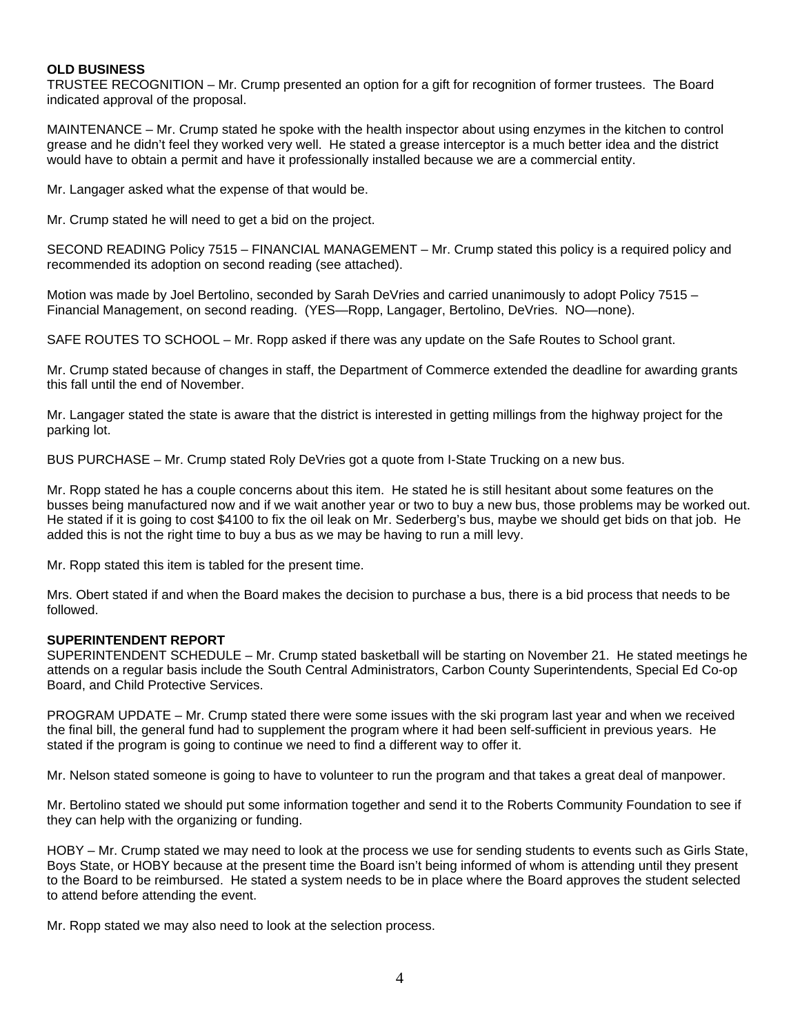#### **OLD BUSINESS**

TRUSTEE RECOGNITION – Mr. Crump presented an option for a gift for recognition of former trustees. The Board indicated approval of the proposal.

MAINTENANCE – Mr. Crump stated he spoke with the health inspector about using enzymes in the kitchen to control grease and he didn't feel they worked very well. He stated a grease interceptor is a much better idea and the district would have to obtain a permit and have it professionally installed because we are a commercial entity.

Mr. Langager asked what the expense of that would be.

Mr. Crump stated he will need to get a bid on the project.

SECOND READING Policy 7515 – FINANCIAL MANAGEMENT – Mr. Crump stated this policy is a required policy and recommended its adoption on second reading (see attached).

Motion was made by Joel Bertolino, seconded by Sarah DeVries and carried unanimously to adopt Policy 7515 – Financial Management, on second reading. (YES—Ropp, Langager, Bertolino, DeVries. NO—none).

SAFE ROUTES TO SCHOOL – Mr. Ropp asked if there was any update on the Safe Routes to School grant.

Mr. Crump stated because of changes in staff, the Department of Commerce extended the deadline for awarding grants this fall until the end of November.

Mr. Langager stated the state is aware that the district is interested in getting millings from the highway project for the parking lot.

BUS PURCHASE – Mr. Crump stated Roly DeVries got a quote from I-State Trucking on a new bus.

Mr. Ropp stated he has a couple concerns about this item. He stated he is still hesitant about some features on the busses being manufactured now and if we wait another year or two to buy a new bus, those problems may be worked out. He stated if it is going to cost \$4100 to fix the oil leak on Mr. Sederberg's bus, maybe we should get bids on that job. He added this is not the right time to buy a bus as we may be having to run a mill levy.

Mr. Ropp stated this item is tabled for the present time.

Mrs. Obert stated if and when the Board makes the decision to purchase a bus, there is a bid process that needs to be followed.

#### **SUPERINTENDENT REPORT**

SUPERINTENDENT SCHEDULE – Mr. Crump stated basketball will be starting on November 21. He stated meetings he attends on a regular basis include the South Central Administrators, Carbon County Superintendents, Special Ed Co-op Board, and Child Protective Services.

PROGRAM UPDATE – Mr. Crump stated there were some issues with the ski program last year and when we received the final bill, the general fund had to supplement the program where it had been self-sufficient in previous years. He stated if the program is going to continue we need to find a different way to offer it.

Mr. Nelson stated someone is going to have to volunteer to run the program and that takes a great deal of manpower.

Mr. Bertolino stated we should put some information together and send it to the Roberts Community Foundation to see if they can help with the organizing or funding.

HOBY – Mr. Crump stated we may need to look at the process we use for sending students to events such as Girls State, Boys State, or HOBY because at the present time the Board isn't being informed of whom is attending until they present to the Board to be reimbursed. He stated a system needs to be in place where the Board approves the student selected to attend before attending the event.

Mr. Ropp stated we may also need to look at the selection process.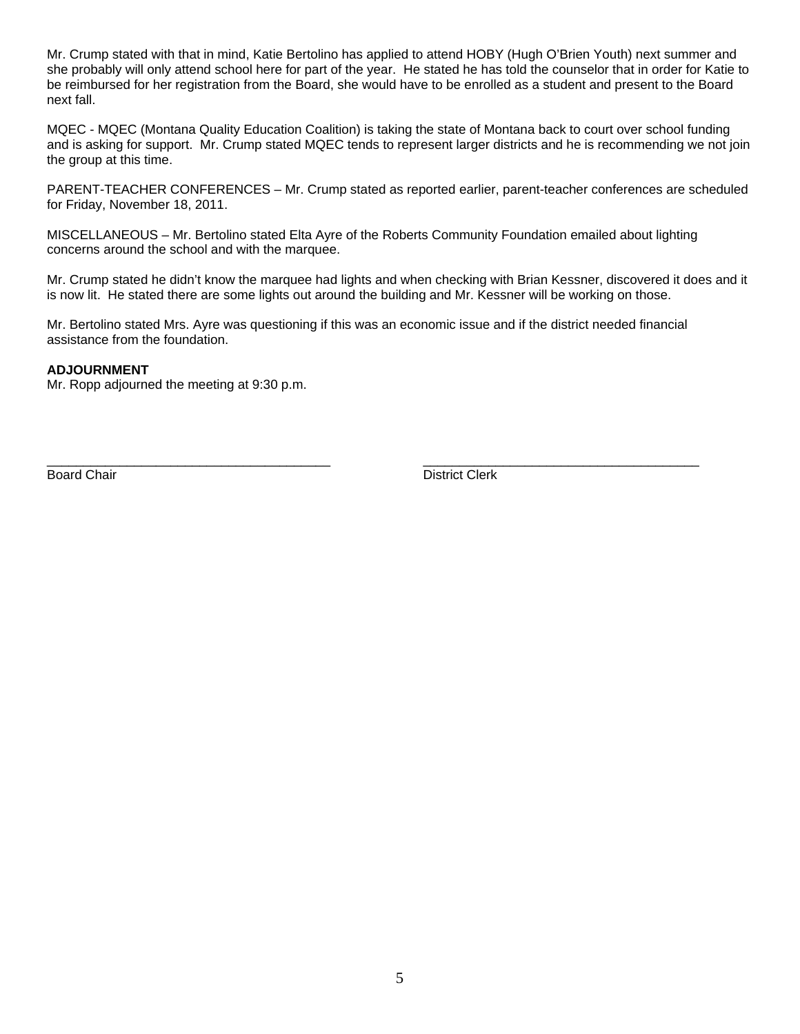Mr. Crump stated with that in mind, Katie Bertolino has applied to attend HOBY (Hugh O'Brien Youth) next summer and she probably will only attend school here for part of the year. He stated he has told the counselor that in order for Katie to be reimbursed for her registration from the Board, she would have to be enrolled as a student and present to the Board next fall.

MQEC - MQEC (Montana Quality Education Coalition) is taking the state of Montana back to court over school funding and is asking for support. Mr. Crump stated MQEC tends to represent larger districts and he is recommending we not join the group at this time.

PARENT-TEACHER CONFERENCES – Mr. Crump stated as reported earlier, parent-teacher conferences are scheduled for Friday, November 18, 2011.

MISCELLANEOUS – Mr. Bertolino stated Elta Ayre of the Roberts Community Foundation emailed about lighting concerns around the school and with the marquee.

Mr. Crump stated he didn't know the marquee had lights and when checking with Brian Kessner, discovered it does and it is now lit. He stated there are some lights out around the building and Mr. Kessner will be working on those.

Mr. Bertolino stated Mrs. Ayre was questioning if this was an economic issue and if the district needed financial assistance from the foundation.

\_\_\_\_\_\_\_\_\_\_\_\_\_\_\_\_\_\_\_\_\_\_\_\_\_\_\_\_\_\_\_\_\_\_\_\_\_\_\_ \_\_\_\_\_\_\_\_\_\_\_\_\_\_\_\_\_\_\_\_\_\_\_\_\_\_\_\_\_\_\_\_\_\_\_\_\_\_

#### **ADJOURNMENT**

Mr. Ropp adjourned the meeting at 9:30 p.m.

Board Chair **District Clerk**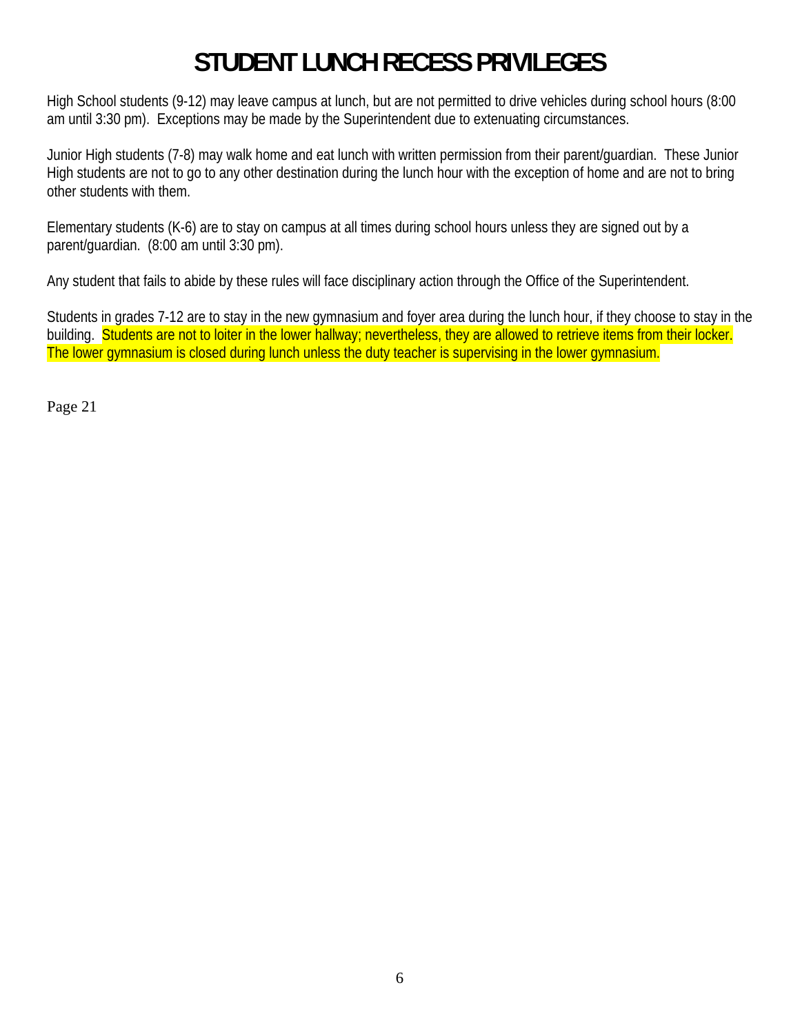# **STUDENT LUNCH RECESS PRIVILEGES**

High School students (9-12) may leave campus at lunch, but are not permitted to drive vehicles during school hours (8:00 am until 3:30 pm). Exceptions may be made by the Superintendent due to extenuating circumstances.

Junior High students (7-8) may walk home and eat lunch with written permission from their parent/guardian. These Junior High students are not to go to any other destination during the lunch hour with the exception of home and are not to bring other students with them.

Elementary students (K-6) are to stay on campus at all times during school hours unless they are signed out by a parent/guardian. (8:00 am until 3:30 pm).

Any student that fails to abide by these rules will face disciplinary action through the Office of the Superintendent.

Students in grades 7-12 are to stay in the new gymnasium and foyer area during the lunch hour, if they choose to stay in the building. Students are not to loiter in the lower hallway; nevertheless, they are allowed to retrieve items from their locker. The lower gymnasium is closed during lunch unless the duty teacher is supervising in the lower gymnasium.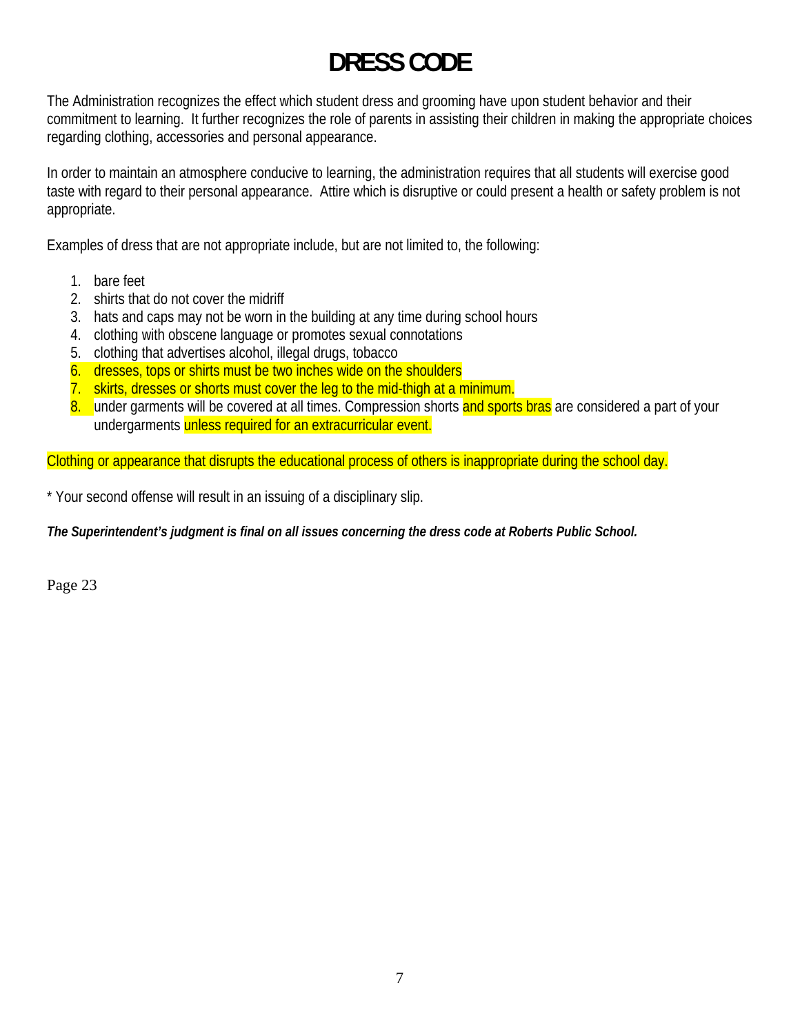# **DRESS CODE**

The Administration recognizes the effect which student dress and grooming have upon student behavior and their commitment to learning. It further recognizes the role of parents in assisting their children in making the appropriate choices regarding clothing, accessories and personal appearance.

In order to maintain an atmosphere conducive to learning, the administration requires that all students will exercise good taste with regard to their personal appearance. Attire which is disruptive or could present a health or safety problem is not appropriate.

Examples of dress that are not appropriate include, but are not limited to, the following:

- 1. bare feet
- 2. shirts that do not cover the midriff
- 3. hats and caps may not be worn in the building at any time during school hours
- 4. clothing with obscene language or promotes sexual connotations
- 5. clothing that advertises alcohol, illegal drugs, tobacco
- 6. dresses, tops or shirts must be two inches wide on the shoulders
- 7. skirts, dresses or shorts must cover the leg to the mid-thigh at a minimum.
- 8. under garments will be covered at all times. Compression shorts and sports bras are considered a part of your undergarments unless required for an extracurricular event.

Clothing or appearance that disrupts the educational process of others is inappropriate during the school day.

\* Your second offense will result in an issuing of a disciplinary slip.

*The Superintendent's judgment is final on all issues concerning the dress code at Roberts Public School.*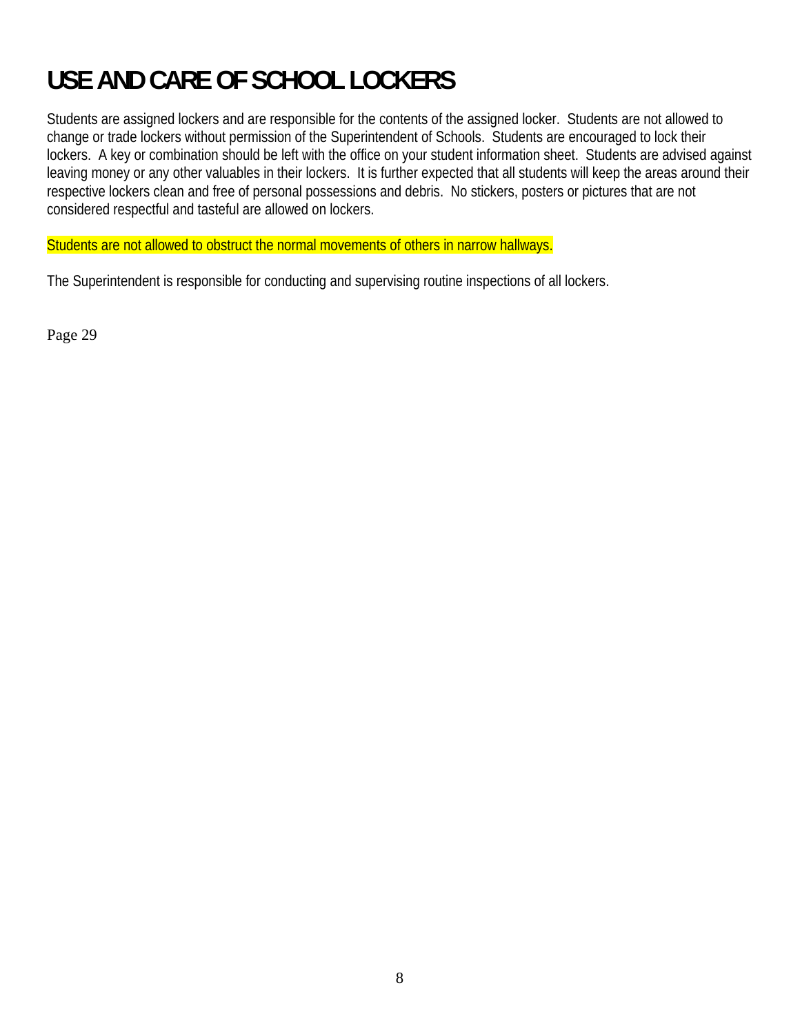# **USE AND CARE OF SCHOOL LOCKERS**

Students are assigned lockers and are responsible for the contents of the assigned locker. Students are not allowed to change or trade lockers without permission of the Superintendent of Schools. Students are encouraged to lock their lockers. A key or combination should be left with the office on your student information sheet. Students are advised against leaving money or any other valuables in their lockers. It is further expected that all students will keep the areas around their respective lockers clean and free of personal possessions and debris. No stickers, posters or pictures that are not considered respectful and tasteful are allowed on lockers.

Students are not allowed to obstruct the normal movements of others in narrow hallways.

The Superintendent is responsible for conducting and supervising routine inspections of all lockers.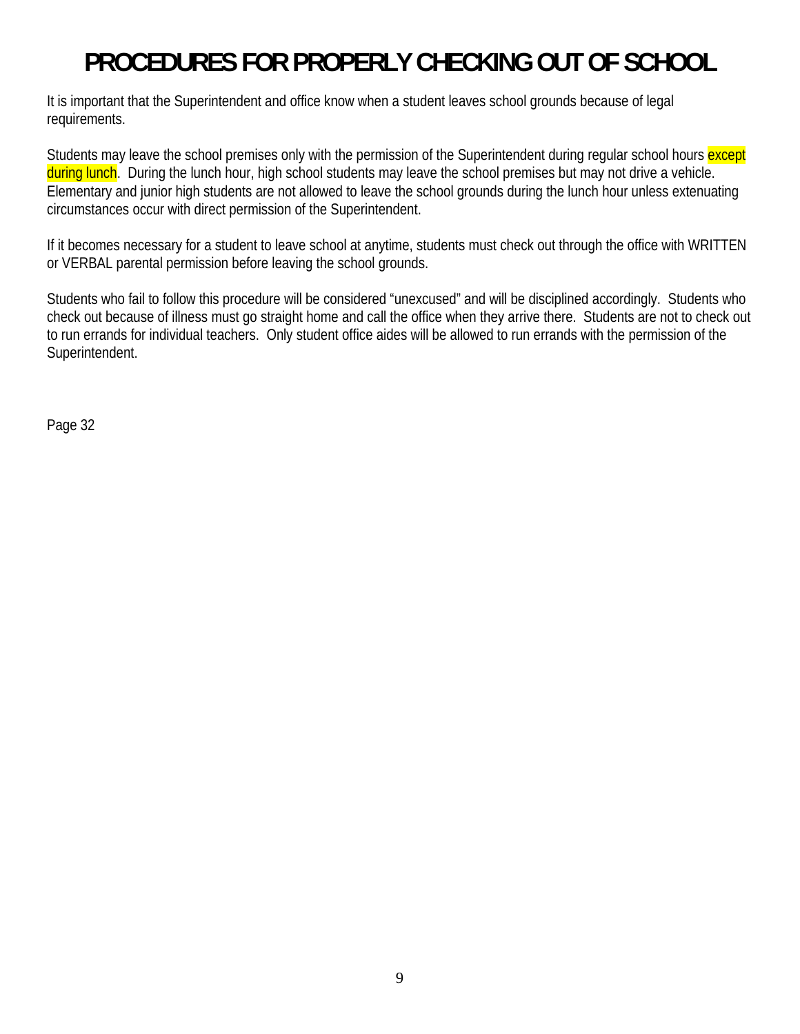# **PROCEDURES FOR PROPERLY CHECKING OUT OF SCHOOL**

It is important that the Superintendent and office know when a student leaves school grounds because of legal requirements.

Students may leave the school premises only with the permission of the Superintendent during regular school hours except during lunch. During the lunch hour, high school students may leave the school premises but may not drive a vehicle. Elementary and junior high students are not allowed to leave the school grounds during the lunch hour unless extenuating circumstances occur with direct permission of the Superintendent.

If it becomes necessary for a student to leave school at anytime, students must check out through the office with WRITTEN or VERBAL parental permission before leaving the school grounds.

Students who fail to follow this procedure will be considered "unexcused" and will be disciplined accordingly. Students who check out because of illness must go straight home and call the office when they arrive there. Students are not to check out to run errands for individual teachers. Only student office aides will be allowed to run errands with the permission of the Superintendent.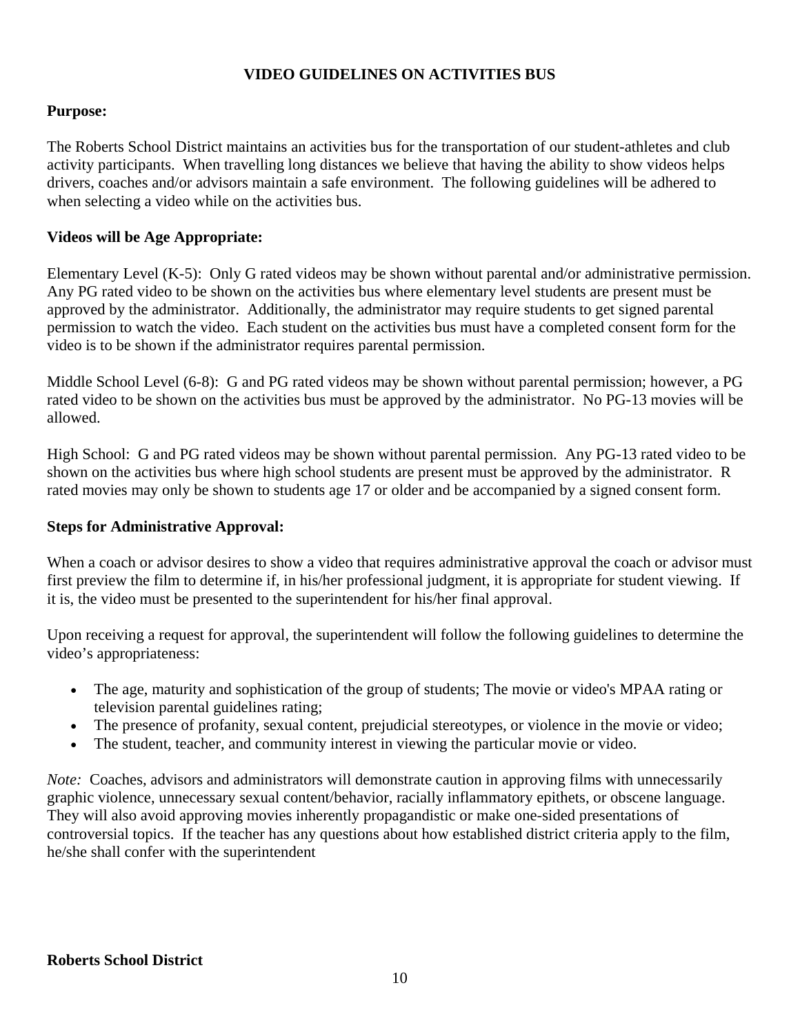# **VIDEO GUIDELINES ON ACTIVITIES BUS**

# **Purpose:**

The Roberts School District maintains an activities bus for the transportation of our student-athletes and club activity participants. When travelling long distances we believe that having the ability to show videos helps drivers, coaches and/or advisors maintain a safe environment. The following guidelines will be adhered to when selecting a video while on the activities bus.

# **Videos will be Age Appropriate:**

Elementary Level (K-5): Only G rated videos may be shown without parental and/or administrative permission. Any PG rated video to be shown on the activities bus where elementary level students are present must be approved by the administrator. Additionally, the administrator may require students to get signed parental permission to watch the video. Each student on the activities bus must have a completed consent form for the video is to be shown if the administrator requires parental permission.

Middle School Level (6-8): G and PG rated videos may be shown without parental permission; however, a PG rated video to be shown on the activities bus must be approved by the administrator. No PG-13 movies will be allowed.

High School: G and PG rated videos may be shown without parental permission. Any PG-13 rated video to be shown on the activities bus where high school students are present must be approved by the administrator. R rated movies may only be shown to students age 17 or older and be accompanied by a signed consent form.

## **Steps for Administrative Approval:**

When a coach or advisor desires to show a video that requires administrative approval the coach or advisor must first preview the film to determine if, in his/her professional judgment, it is appropriate for student viewing. If it is, the video must be presented to the superintendent for his/her final approval.

Upon receiving a request for approval, the superintendent will follow the following guidelines to determine the video's appropriateness:

- The age, maturity and sophistication of the group of students; The movie or video's MPAA rating or television parental guidelines rating;
- The presence of profanity, sexual content, prejudicial stereotypes, or violence in the movie or video;
- The student, teacher, and community interest in viewing the particular movie or video.

*Note:* Coaches, advisors and administrators will demonstrate caution in approving films with unnecessarily graphic violence, unnecessary sexual content/behavior, racially inflammatory epithets, or obscene language. They will also avoid approving movies inherently propagandistic or make one-sided presentations of controversial topics. If the teacher has any questions about how established district criteria apply to the film, he/she shall confer with the superintendent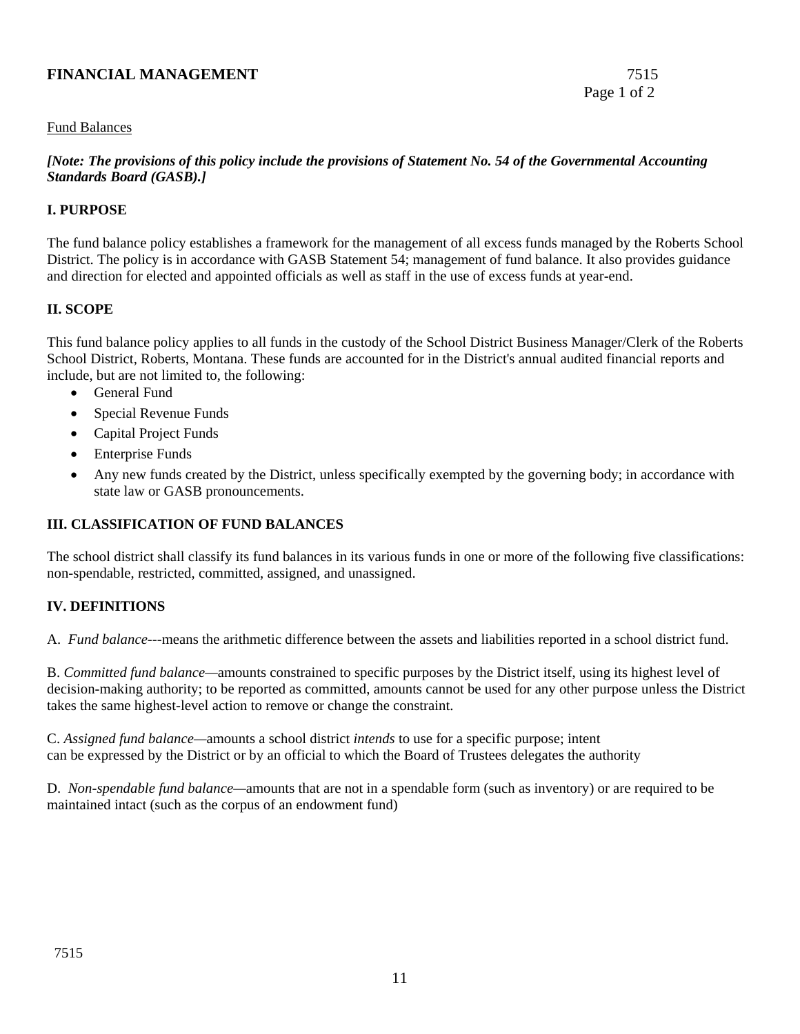## **FINANCIAL MANAGEMENT** 7515

## Fund Balances

## *[Note: The provisions of this policy include the provisions of Statement No. 54 of the Governmental Accounting Standards Board (GASB).]*

## **I. PURPOSE**

The fund balance policy establishes a framework for the management of all excess funds managed by the Roberts School District. The policy is in accordance with GASB Statement 54; management of fund balance. It also provides guidance and direction for elected and appointed officials as well as staff in the use of excess funds at year-end.

## **II. SCOPE**

This fund balance policy applies to all funds in the custody of the School District Business Manager/Clerk of the Roberts School District, Roberts, Montana. These funds are accounted for in the District's annual audited financial reports and include, but are not limited to, the following:

- General Fund
- Special Revenue Funds
- Capital Project Funds
- **Enterprise Funds**
- Any new funds created by the District, unless specifically exempted by the governing body; in accordance with state law or GASB pronouncements.

# **III. CLASSIFICATION OF FUND BALANCES**

The school district shall classify its fund balances in its various funds in one or more of the following five classifications: non-spendable, restricted, committed, assigned, and unassigned.

# **IV. DEFINITIONS**

A. *Fund balance*---means the arithmetic difference between the assets and liabilities reported in a school district fund.

B. *Committed fund balance—*amounts constrained to specific purposes by the District itself, using its highest level of decision-making authority; to be reported as committed, amounts cannot be used for any other purpose unless the District takes the same highest-level action to remove or change the constraint.

C. *Assigned fund balance—*amounts a school district *intends* to use for a specific purpose; intent can be expressed by the District or by an official to which the Board of Trustees delegates the authority

D. *Non-spendable fund balance—*amounts that are not in a spendable form (such as inventory) or are required to be maintained intact (such as the corpus of an endowment fund)